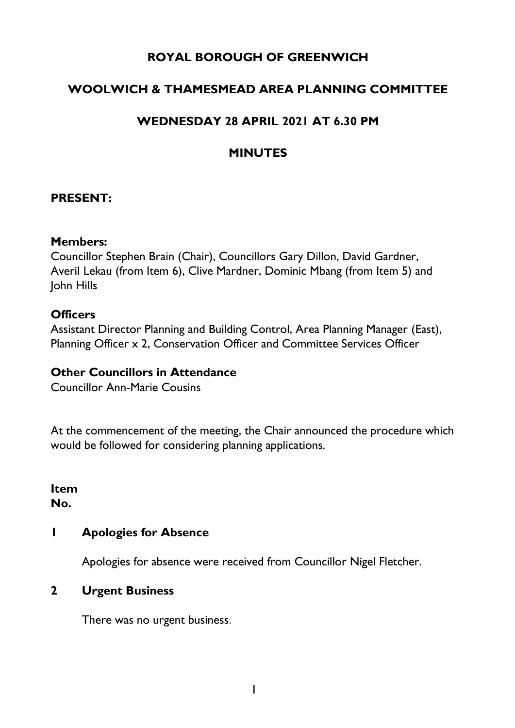## **ROYAL BOROUGH OF GREENWICH**

# **WOOLWICH & THAMESMEAD AREA PLANNING COMMITTEE**

# **WEDNESDAY 28 APRIL 2021 AT 6.30 PM**

## **MINUTES**

### **PRESENT:**

#### **Members:**

Councillor Stephen Brain (Chair), Councillors Gary Dillon, David Gardner, Averil Lekau (from Item 6), Clive Mardner, Dominic Mbang (from Item 5) and John Hills

### **Officers**

Assistant Director Planning and Building Control, Area Planning Manager (East), Planning Officer x 2, Conservation Officer and Committee Services Officer

#### **Other Councillors in Attendance**

Councillor Ann-Marie Cousins

At the commencement of the meeting, the Chair announced the procedure which would be followed for considering planning applications.

**Item No.** 

## **1 Apologies for Absence**

Apologies for absence were received from Councillor Nigel Fletcher.

#### **2 Urgent Business**

There was no urgent business.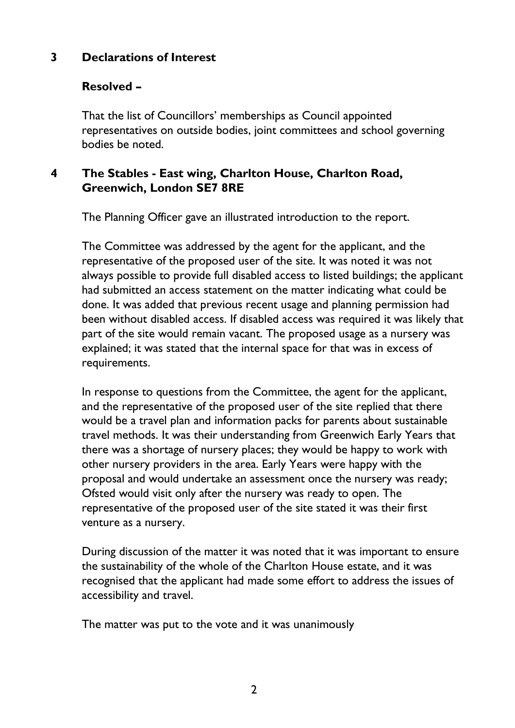## **3 Declarations of Interest**

## **Resolved –**

That the list of Councillors' memberships as Council appointed representatives on outside bodies, joint committees and school governing bodies be noted.

## **4 The Stables - East wing, Charlton House, Charlton Road, Greenwich, London SE7 8RE**

The Planning Officer gave an illustrated introduction to the report.

The Committee was addressed by the agent for the applicant, and the representative of the proposed user of the site. It was noted it was not always possible to provide full disabled access to listed buildings; the applicant had submitted an access statement on the matter indicating what could be done. It was added that previous recent usage and planning permission had been without disabled access. If disabled access was required it was likely that part of the site would remain vacant. The proposed usage as a nursery was explained; it was stated that the internal space for that was in excess of requirements.

In response to questions from the Committee, the agent for the applicant, and the representative of the proposed user of the site replied that there would be a travel plan and information packs for parents about sustainable travel methods. It was their understanding from Greenwich Early Years that there was a shortage of nursery places; they would be happy to work with other nursery providers in the area. Early Years were happy with the proposal and would undertake an assessment once the nursery was ready; Ofsted would visit only after the nursery was ready to open. The representative of the proposed user of the site stated it was their first venture as a nursery.

During discussion of the matter it was noted that it was important to ensure the sustainability of the whole of the Charlton House estate, and it was recognised that the applicant had made some effort to address the issues of accessibility and travel.

The matter was put to the vote and it was unanimously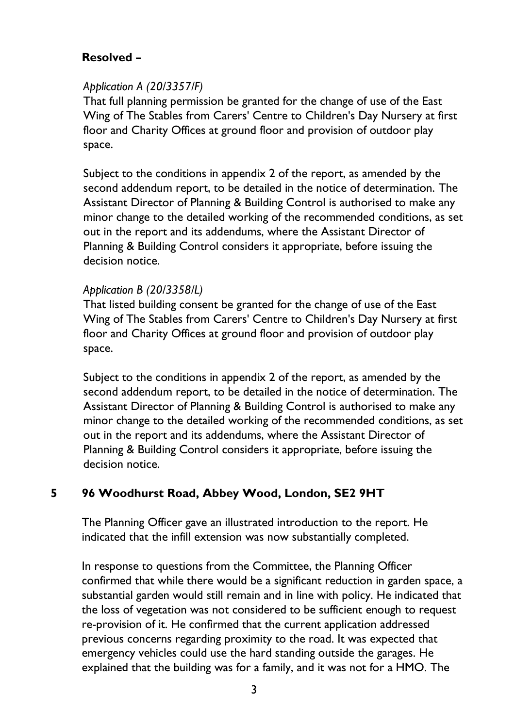## **Resolved –**

### *Application A (20/3357/F)*

That full planning permission be granted for the change of use of the East Wing of The Stables from Carers' Centre to Children's Day Nursery at first floor and Charity Offices at ground floor and provision of outdoor play space.

Subject to the conditions in appendix 2 of the report, as amended by the second addendum report, to be detailed in the notice of determination. The Assistant Director of Planning & Building Control is authorised to make any minor change to the detailed working of the recommended conditions, as set out in the report and its addendums, where the Assistant Director of Planning & Building Control considers it appropriate, before issuing the decision notice.

### *Application B (20/3358/L)*

That listed building consent be granted for the change of use of the East Wing of The Stables from Carers' Centre to Children's Day Nursery at first floor and Charity Offices at ground floor and provision of outdoor play space.

Subject to the conditions in appendix 2 of the report, as amended by the second addendum report, to be detailed in the notice of determination. The Assistant Director of Planning & Building Control is authorised to make any minor change to the detailed working of the recommended conditions, as set out in the report and its addendums, where the Assistant Director of Planning & Building Control considers it appropriate, before issuing the decision notice.

## **5 96 Woodhurst Road, Abbey Wood, London, SE2 9HT**

The Planning Officer gave an illustrated introduction to the report. He indicated that the infill extension was now substantially completed.

In response to questions from the Committee, the Planning Officer confirmed that while there would be a significant reduction in garden space, a substantial garden would still remain and in line with policy. He indicated that the loss of vegetation was not considered to be sufficient enough to request re-provision of it. He confirmed that the current application addressed previous concerns regarding proximity to the road. It was expected that emergency vehicles could use the hard standing outside the garages. He explained that the building was for a family, and it was not for a HMO. The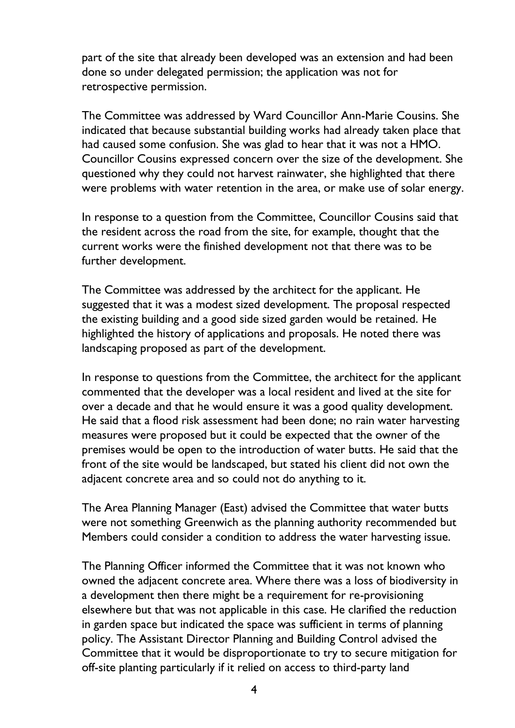part of the site that already been developed was an extension and had been done so under delegated permission; the application was not for retrospective permission.

The Committee was addressed by Ward Councillor Ann-Marie Cousins. She indicated that because substantial building works had already taken place that had caused some confusion. She was glad to hear that it was not a HMO. Councillor Cousins expressed concern over the size of the development. She questioned why they could not harvest rainwater, she highlighted that there were problems with water retention in the area, or make use of solar energy.

In response to a question from the Committee, Councillor Cousins said that the resident across the road from the site, for example, thought that the current works were the finished development not that there was to be further development.

The Committee was addressed by the architect for the applicant. He suggested that it was a modest sized development. The proposal respected the existing building and a good side sized garden would be retained. He highlighted the history of applications and proposals. He noted there was landscaping proposed as part of the development.

In response to questions from the Committee, the architect for the applicant commented that the developer was a local resident and lived at the site for over a decade and that he would ensure it was a good quality development. He said that a flood risk assessment had been done; no rain water harvesting measures were proposed but it could be expected that the owner of the premises would be open to the introduction of water butts. He said that the front of the site would be landscaped, but stated his client did not own the adjacent concrete area and so could not do anything to it.

The Area Planning Manager (East) advised the Committee that water butts were not something Greenwich as the planning authority recommended but Members could consider a condition to address the water harvesting issue.

The Planning Officer informed the Committee that it was not known who owned the adjacent concrete area. Where there was a loss of biodiversity in a development then there might be a requirement for re-provisioning elsewhere but that was not applicable in this case. He clarified the reduction in garden space but indicated the space was sufficient in terms of planning policy. The Assistant Director Planning and Building Control advised the Committee that it would be disproportionate to try to secure mitigation for off-site planting particularly if it relied on access to third-party land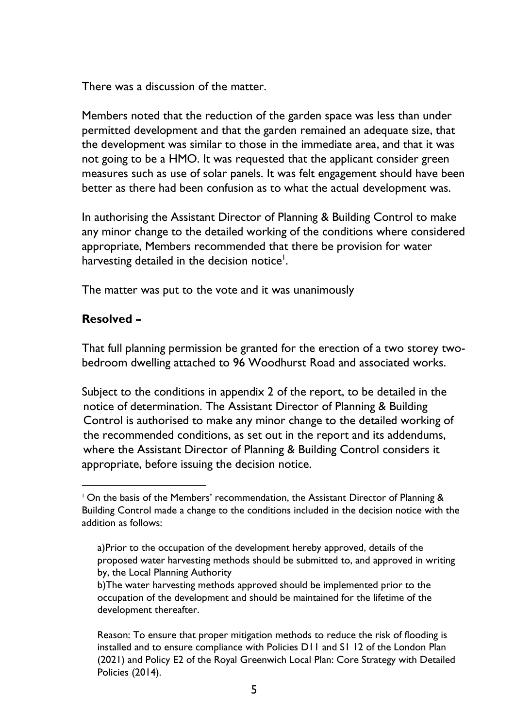There was a discussion of the matter.

Members noted that the reduction of the garden space was less than under permitted development and that the garden remained an adequate size, that the development was similar to those in the immediate area, and that it was not going to be a HMO. It was requested that the applicant consider green measures such as use of solar panels. It was felt engagement should have been better as there had been confusion as to what the actual development was.

In authorising the Assistant Director of Planning & Building Control to make any minor change to the detailed working of the conditions where considered appropriate, Members recommended that there be provision for water harvesting detailed in the decision notice<sup>1</sup>.

The matter was put to the vote and it was unanimously

## **Resolved –**

That full planning permission be granted for the erection of a two storey twobedroom dwelling attached to 96 Woodhurst Road and associated works.

Subject to the conditions in appendix 2 of the report, to be detailed in the notice of determination. The Assistant Director of Planning & Building Control is authorised to make any minor change to the detailed working of the recommended conditions, as set out in the report and its addendums, where the Assistant Director of Planning & Building Control considers it appropriate, before issuing the decision notice.

<sup>&</sup>lt;sup>1</sup> On the basis of the Members' recommendation, the Assistant Director of Planning & Building Control made a change to the conditions included in the decision notice with the addition as follows:

a)Prior to the occupation of the development hereby approved, details of the proposed water harvesting methods should be submitted to, and approved in writing by, the Local Planning Authority

b)The water harvesting methods approved should be implemented prior to the occupation of the development and should be maintained for the lifetime of the development thereafter.

Reason: To ensure that proper mitigation methods to reduce the risk of flooding is installed and to ensure compliance with Policies D11 and S1 12 of the London Plan (2021) and Policy E2 of the Royal Greenwich Local Plan: Core Strategy with Detailed Policies (2014).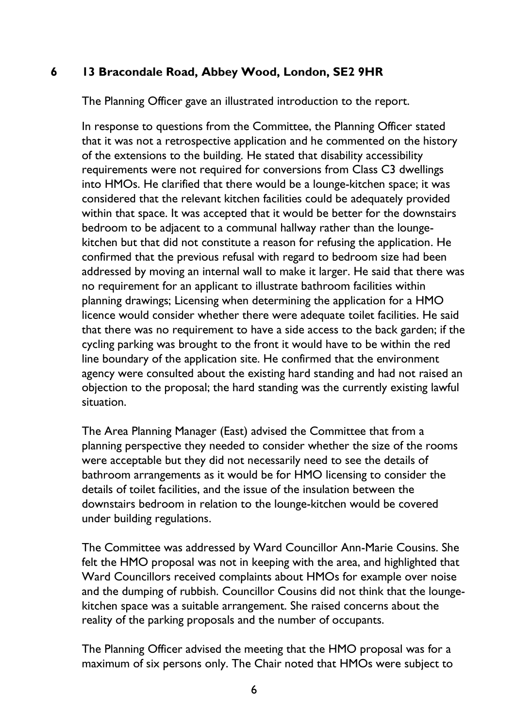## **6 13 Bracondale Road, Abbey Wood, London, SE2 9HR**

The Planning Officer gave an illustrated introduction to the report.

In response to questions from the Committee, the Planning Officer stated that it was not a retrospective application and he commented on the history of the extensions to the building. He stated that disability accessibility requirements were not required for conversions from Class C3 dwellings into HMOs. He clarified that there would be a lounge-kitchen space; it was considered that the relevant kitchen facilities could be adequately provided within that space. It was accepted that it would be better for the downstairs bedroom to be adjacent to a communal hallway rather than the loungekitchen but that did not constitute a reason for refusing the application. He confirmed that the previous refusal with regard to bedroom size had been addressed by moving an internal wall to make it larger. He said that there was no requirement for an applicant to illustrate bathroom facilities within planning drawings; Licensing when determining the application for a HMO licence would consider whether there were adequate toilet facilities. He said that there was no requirement to have a side access to the back garden; if the cycling parking was brought to the front it would have to be within the red line boundary of the application site. He confirmed that the environment agency were consulted about the existing hard standing and had not raised an objection to the proposal; the hard standing was the currently existing lawful situation.

The Area Planning Manager (East) advised the Committee that from a planning perspective they needed to consider whether the size of the rooms were acceptable but they did not necessarily need to see the details of bathroom arrangements as it would be for HMO licensing to consider the details of toilet facilities, and the issue of the insulation between the downstairs bedroom in relation to the lounge-kitchen would be covered under building regulations.

The Committee was addressed by Ward Councillor Ann-Marie Cousins. She felt the HMO proposal was not in keeping with the area, and highlighted that Ward Councillors received complaints about HMOs for example over noise and the dumping of rubbish. Councillor Cousins did not think that the loungekitchen space was a suitable arrangement. She raised concerns about the reality of the parking proposals and the number of occupants.

The Planning Officer advised the meeting that the HMO proposal was for a maximum of six persons only. The Chair noted that HMOs were subject to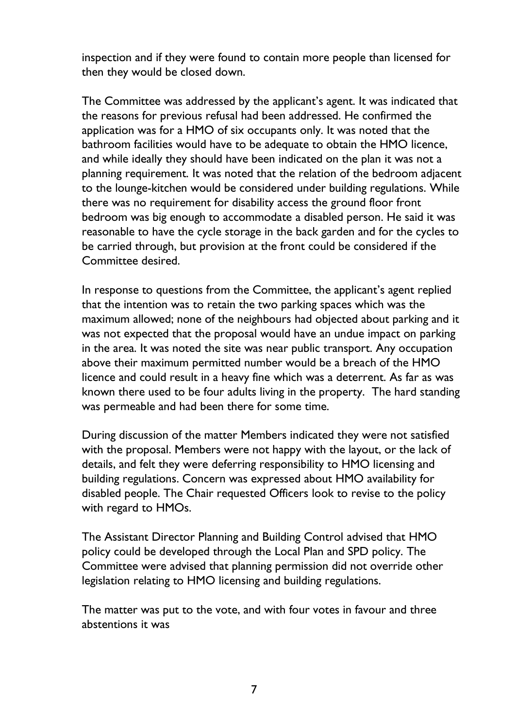inspection and if they were found to contain more people than licensed for then they would be closed down.

The Committee was addressed by the applicant's agent. It was indicated that the reasons for previous refusal had been addressed. He confirmed the application was for a HMO of six occupants only. It was noted that the bathroom facilities would have to be adequate to obtain the HMO licence, and while ideally they should have been indicated on the plan it was not a planning requirement. It was noted that the relation of the bedroom adjacent to the lounge-kitchen would be considered under building regulations. While there was no requirement for disability access the ground floor front bedroom was big enough to accommodate a disabled person. He said it was reasonable to have the cycle storage in the back garden and for the cycles to be carried through, but provision at the front could be considered if the Committee desired.

In response to questions from the Committee, the applicant's agent replied that the intention was to retain the two parking spaces which was the maximum allowed; none of the neighbours had objected about parking and it was not expected that the proposal would have an undue impact on parking in the area. It was noted the site was near public transport. Any occupation above their maximum permitted number would be a breach of the HMO licence and could result in a heavy fine which was a deterrent. As far as was known there used to be four adults living in the property. The hard standing was permeable and had been there for some time.

During discussion of the matter Members indicated they were not satisfied with the proposal. Members were not happy with the layout, or the lack of details, and felt they were deferring responsibility to HMO licensing and building regulations. Concern was expressed about HMO availability for disabled people. The Chair requested Officers look to revise to the policy with regard to HMOs.

The Assistant Director Planning and Building Control advised that HMO policy could be developed through the Local Plan and SPD policy. The Committee were advised that planning permission did not override other legislation relating to HMO licensing and building regulations.

The matter was put to the vote, and with four votes in favour and three abstentions it was